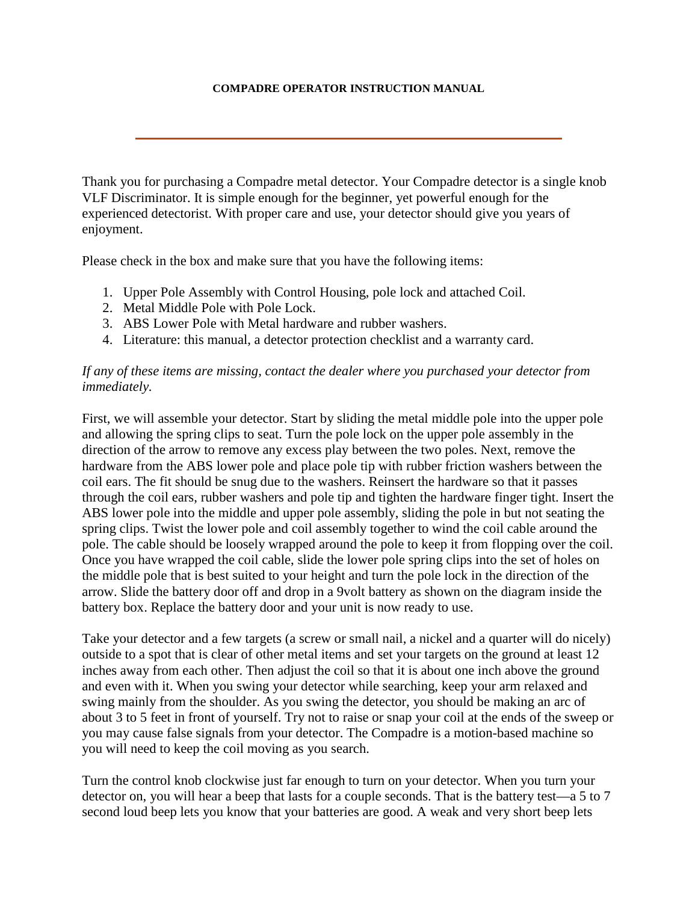## **COMPADRE OPERATOR INSTRUCTION MANUAL**

Thank you for purchasing a Compadre metal detector. Your Compadre detector is a single knob VLF Discriminator. It is simple enough for the beginner, yet powerful enough for the experienced detectorist. With proper care and use, your detector should give you years of enjoyment.

Please check in the box and make sure that you have the following items:

- 1. Upper Pole Assembly with Control Housing, pole lock and attached Coil.
- 2. Metal Middle Pole with Pole Lock.
- 3. ABS Lower Pole with Metal hardware and rubber washers.
- 4. Literature: this manual, a detector protection checklist and a warranty card.

## *If any of these items are missing, contact the dealer where you purchased your detector from immediately.*

First, we will assemble your detector. Start by sliding the metal middle pole into the upper pole and allowing the spring clips to seat. Turn the pole lock on the upper pole assembly in the direction of the arrow to remove any excess play between the two poles. Next, remove the hardware from the ABS lower pole and place pole tip with rubber friction washers between the coil ears. The fit should be snug due to the washers. Reinsert the hardware so that it passes through the coil ears, rubber washers and pole tip and tighten the hardware finger tight. Insert the ABS lower pole into the middle and upper pole assembly, sliding the pole in but not seating the spring clips. Twist the lower pole and coil assembly together to wind the coil cable around the pole. The cable should be loosely wrapped around the pole to keep it from flopping over the coil. Once you have wrapped the coil cable, slide the lower pole spring clips into the set of holes on the middle pole that is best suited to your height and turn the pole lock in the direction of the arrow. Slide the battery door off and drop in a 9volt battery as shown on the diagram inside the battery box. Replace the battery door and your unit is now ready to use.

Take your detector and a few targets (a screw or small nail, a nickel and a quarter will do nicely) outside to a spot that is clear of other metal items and set your targets on the ground at least 12 inches away from each other. Then adjust the coil so that it is about one inch above the ground and even with it. When you swing your detector while searching, keep your arm relaxed and swing mainly from the shoulder. As you swing the detector, you should be making an arc of about 3 to 5 feet in front of yourself. Try not to raise or snap your coil at the ends of the sweep or you may cause false signals from your detector. The Compadre is a motion-based machine so you will need to keep the coil moving as you search.

Turn the control knob clockwise just far enough to turn on your detector. When you turn your detector on, you will hear a beep that lasts for a couple seconds. That is the battery test—a 5 to 7 second loud beep lets you know that your batteries are good. A weak and very short beep lets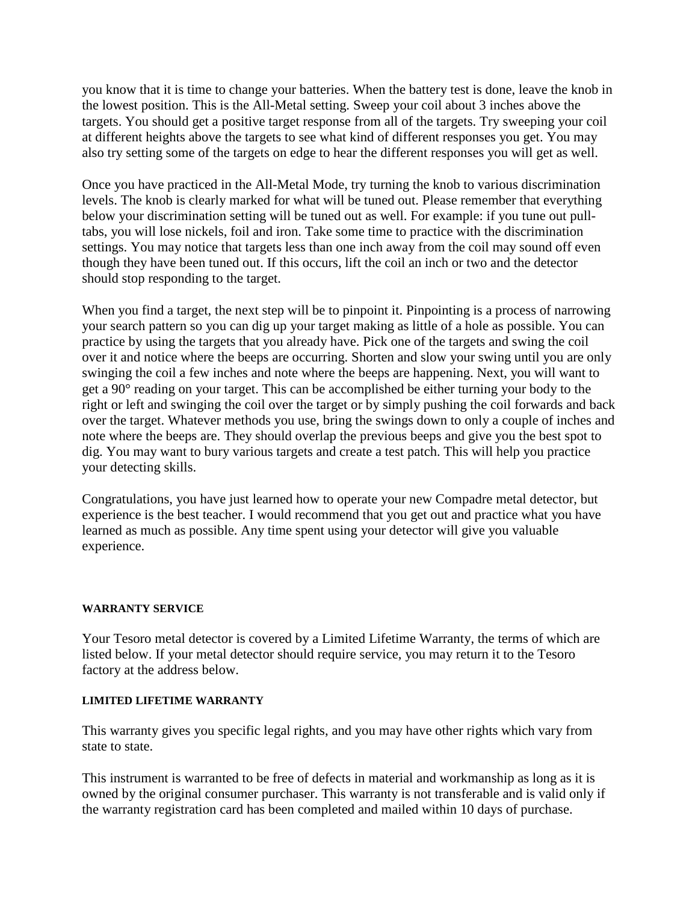you know that it is time to change your batteries. When the battery test is done, leave the knob in the lowest position. This is the All-Metal setting. Sweep your coil about 3 inches above the targets. You should get a positive target response from all of the targets. Try sweeping your coil at different heights above the targets to see what kind of different responses you get. You may also try setting some of the targets on edge to hear the different responses you will get as well.

Once you have practiced in the All-Metal Mode, try turning the knob to various discrimination levels. The knob is clearly marked for what will be tuned out. Please remember that everything below your discrimination setting will be tuned out as well. For example: if you tune out pulltabs, you will lose nickels, foil and iron. Take some time to practice with the discrimination settings. You may notice that targets less than one inch away from the coil may sound off even though they have been tuned out. If this occurs, lift the coil an inch or two and the detector should stop responding to the target.

When you find a target, the next step will be to pinpoint it. Pinpointing is a process of narrowing your search pattern so you can dig up your target making as little of a hole as possible. You can practice by using the targets that you already have. Pick one of the targets and swing the coil over it and notice where the beeps are occurring. Shorten and slow your swing until you are only swinging the coil a few inches and note where the beeps are happening. Next, you will want to get a 90° reading on your target. This can be accomplished be either turning your body to the right or left and swinging the coil over the target or by simply pushing the coil forwards and back over the target. Whatever methods you use, bring the swings down to only a couple of inches and note where the beeps are. They should overlap the previous beeps and give you the best spot to dig. You may want to bury various targets and create a test patch. This will help you practice your detecting skills.

Congratulations, you have just learned how to operate your new Compadre metal detector, but experience is the best teacher. I would recommend that you get out and practice what you have learned as much as possible. Any time spent using your detector will give you valuable experience.

## **WARRANTY SERVICE**

Your Tesoro metal detector is covered by a Limited Lifetime Warranty, the terms of which are listed below. If your metal detector should require service, you may return it to the Tesoro factory at the address below.

## **LIMITED LIFETIME WARRANTY**

This warranty gives you specific legal rights, and you may have other rights which vary from state to state.

This instrument is warranted to be free of defects in material and workmanship as long as it is owned by the original consumer purchaser. This warranty is not transferable and is valid only if the warranty registration card has been completed and mailed within 10 days of purchase.